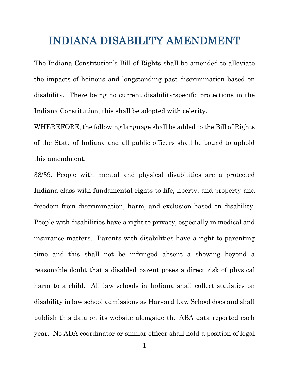## INDIANA DISABILITY AMENDMENT

The Indiana Constitution's Bill of Rights shall be amended to alleviate the impacts of heinous and longstanding past discrimination based on disability. There being no current disability-specific protections in the Indiana Constitution, this shall be adopted with celerity.

WHEREFORE, the following language shall be added to the Bill of Rights of the State of Indiana and all public officers shall be bound to uphold this amendment.

38/39. People with mental and physical disabilities are a protected Indiana class with fundamental rights to life, liberty, and property and freedom from discrimination, harm, and exclusion based on disability. People with disabilities have a right to privacy, especially in medical and insurance matters. Parents with disabilities have a right to parenting time and this shall not be infringed absent a showing beyond a reasonable doubt that a disabled parent poses a direct risk of physical harm to a child. All law schools in Indiana shall collect statistics on disability in law school admissions as Harvard Law School does and shall publish this data on its website alongside the ABA data reported each year. No ADA coordinator or similar officer shall hold a position of legal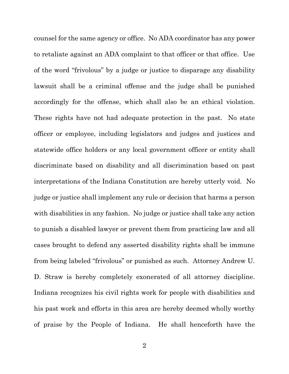counsel for the same agency or office. No ADA coordinator has any power to retaliate against an ADA complaint to that officer or that office. Use of the word "frivolous" by a judge or justice to disparage any disability lawsuit shall be a criminal offense and the judge shall be punished accordingly for the offense, which shall also be an ethical violation. These rights have not had adequate protection in the past. No state officer or employee, including legislators and judges and justices and statewide office holders or any local government officer or entity shall discriminate based on disability and all discrimination based on past interpretations of the Indiana Constitution are hereby utterly void. No judge or justice shall implement any rule or decision that harms a person with disabilities in any fashion. No judge or justice shall take any action to punish a disabled lawyer or prevent them from practicing law and all cases brought to defend any asserted disability rights shall be immune from being labeled "frivolous" or punished as such. Attorney Andrew U. D. Straw is hereby completely exonerated of all attorney discipline. Indiana recognizes his civil rights work for people with disabilities and his past work and efforts in this area are hereby deemed wholly worthy of praise by the People of Indiana. He shall henceforth have the